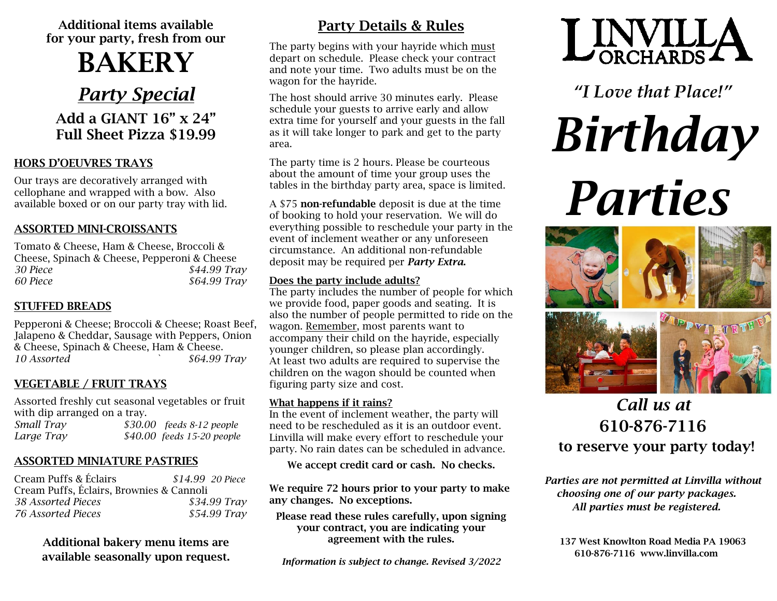Additional items available for your party, fresh from our

# BAKERY

*Party Special*

### Add a GIANT 16" x 24" Full Sheet Pizza \$19.99

#### HORS D'OEUVRES TRAYS

Our trays are decoratively arranged with cellophane and wrapped with a bow. Also available boxed or on our party tray with lid.

#### ASSORTED MINI-CROISSANTS

Tomato & Cheese, Ham & Cheese, Broccoli & Cheese, Spinach & Cheese, Pepperoni & Cheese *30 Piece \$44.99 Tray 60 Piece \$64.99 Tray*

#### STUFFED BREADS

Pepperoni & Cheese; Broccoli & Cheese; Roast Beef, Jalapeno & Cheddar, Sausage with Peppers, Onion & Cheese, Spinach & Cheese, Ham & Cheese. *10 Assorted ` \$64.99 Tray*

#### VEGETABLE / FRUIT TRAYS

Assorted freshly cut seasonal vegetables or fruit with dip arranged on a tray.

| Small Tray | $$30.00$ feeds $8-12$ people |
|------------|------------------------------|
| Large Tray | \$40.00 feeds 15-20 people   |

#### ASSORTED MINIATURE PASTRIES

| Cream Puffs & Éclairs                    | \$14.99 20 Piece |  |
|------------------------------------------|------------------|--|
| Cream Puffs, Éclairs, Brownies & Cannoli |                  |  |
| 38 Assorted Pieces                       | \$34.99 Tray     |  |
| 76 Assorted Pieces                       | \$54.99 Tray     |  |

Additional bakery menu items are available seasonally upon request.

## Party Details & Rules

The party begins with your hayride which must depart on schedule. Please check your contract and note your time. Two adults must be on the wagon for the hayride.

The host should arrive 30 minutes early. Please schedule your guests to arrive early and allow extra time for yourself and your guests in the fall as it will take longer to park and get to the party area.

The party time is 2 hours. Please be courteous about the amount of time your group uses the tables in the birthday party area, space is limited.

A \$75 **non-refundable** deposit is due at the time of booking to hold your reservation. We will do everything possible to reschedule your party in the event of inclement weather or any unforeseen circumstance. An additional non-refundable deposit may be required per *Party Extra*.

#### Does the party include adults?

The party includes the number of people for which we provide food, paper goods and seating. It is also the number of people permitted to ride on the wagon. Remember, most parents want to accompany their child on the hayride, especially younger children, so please plan accordingly. At least two adults are required to supervise the children on the wagon should be counted when figuring party size and cost.

#### What happens if it rains?

In the event of inclement weather, the party will need to be rescheduled as it is an outdoor event. Linvilla will make every effort to reschedule your party. No rain dates can be scheduled in advance.

We accept credit card or cash. No checks.

We require 72 hours prior to your party to make any changes. No exceptions.

Please read these rules carefully, upon signing your contract, you are indicating your agreement with the rules.

*Information is subject to change. Revised 3/2022*



*"I Love that Place!"*

*Birthday Parties*



## *Call us at*  610-876-7116 to reserve your party today!

*Parties are not permitted at Linvilla without choosing one of our party packages. All parties must be registered.*

137 West Knowlton Road Media PA 19063 610-876-7116 www.linvilla.com